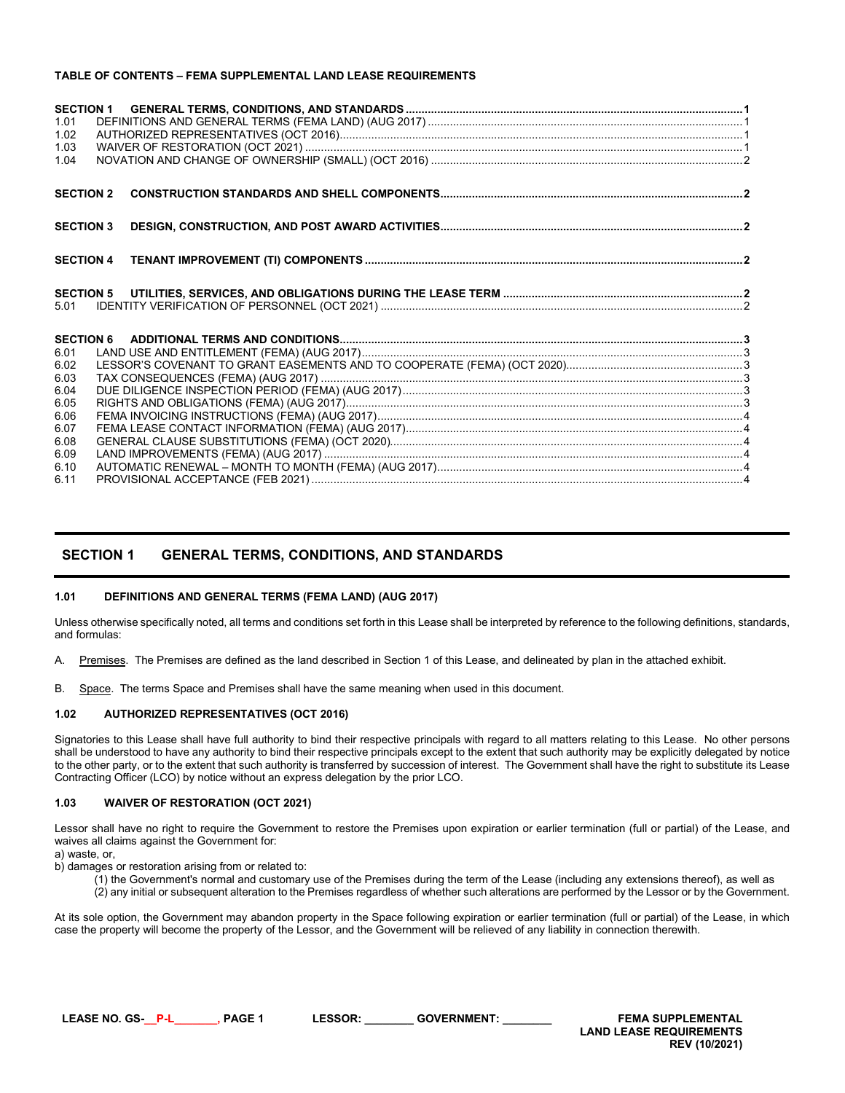### **TABLE OF CONTENTS – FEMA SUPPLEMENTAL LAND LEASE REQUIREMENTS**

| 1.01<br>1.02<br>1.03<br>1.04 |  |  |  |  |
|------------------------------|--|--|--|--|
| <b>SECTION 2</b>             |  |  |  |  |
| <b>SECTION 3</b>             |  |  |  |  |
| <b>SECTION 4</b>             |  |  |  |  |
| <b>SECTION 5</b>             |  |  |  |  |
| 5.01                         |  |  |  |  |
| <b>SECTION 6</b>             |  |  |  |  |
| 6.01                         |  |  |  |  |
| 6.02                         |  |  |  |  |
| 6.03                         |  |  |  |  |
| 6.04                         |  |  |  |  |
| 6.05<br>6.06                 |  |  |  |  |
| 6.07                         |  |  |  |  |
| 6.08                         |  |  |  |  |
| 6.09                         |  |  |  |  |
| 6.10                         |  |  |  |  |
| 6.11                         |  |  |  |  |

## <span id="page-0-0"></span>**SECTION 1 GENERAL TERMS, CONDITIONS, AND STANDARDS**

#### <span id="page-0-1"></span>**1.01 DEFINITIONS AND GENERAL TERMS (FEMA LAND) (AUG 2017)**

Unless otherwise specifically noted, all terms and conditions set forth in this Lease shall be interpreted by reference to the following definitions, standards, and formulas:

A. Premises. The Premises are defined as the land described in Section 1 of this Lease, and delineated by plan in the attached exhibit.

B. Space. The terms Space and Premises shall have the same meaning when used in this document.

#### <span id="page-0-2"></span>**1.02 AUTHORIZED REPRESENTATIVES (OCT 2016)**

Signatories to this Lease shall have full authority to bind their respective principals with regard to all matters relating to this Lease. No other persons shall be understood to have any authority to bind their respective principals except to the extent that such authority may be explicitly delegated by notice to the other party, or to the extent that such authority is transferred by succession of interest. The Government shall have the right to substitute its Lease Contracting Officer (LCO) by notice without an express delegation by the prior LCO.

#### <span id="page-0-3"></span>**1.03 WAIVER OF RESTORATION (OCT 2021)**

Lessor shall have no right to require the Government to restore the Premises upon expiration or earlier termination (full or partial) of the Lease, and waives all claims against the Government for:

a) waste, or

b) damages or restoration arising from or related to:

(1) the Government's normal and customary use of the Premises during the term of the Lease (including any extensions thereof), as well as (2) any initial or subsequent alteration to the Premises regardless of whether such alterations are performed by the Lessor or by the Government.

At its sole option, the Government may abandon property in the Space following expiration or earlier termination (full or partial) of the Lease, in which case the property will become the property of the Lessor, and the Government will be relieved of any liability in connection therewith.

**LEASE NO. GS-\_\_P-L\_\_\_\_\_\_\_, PAGE 1 LESSOR: \_\_\_\_\_\_\_\_ GOVERNMENT: \_\_\_\_\_\_\_\_ FEMA SUPPLEMENTAL LAND LEASE REQUIREMENTS REV (10/2021)**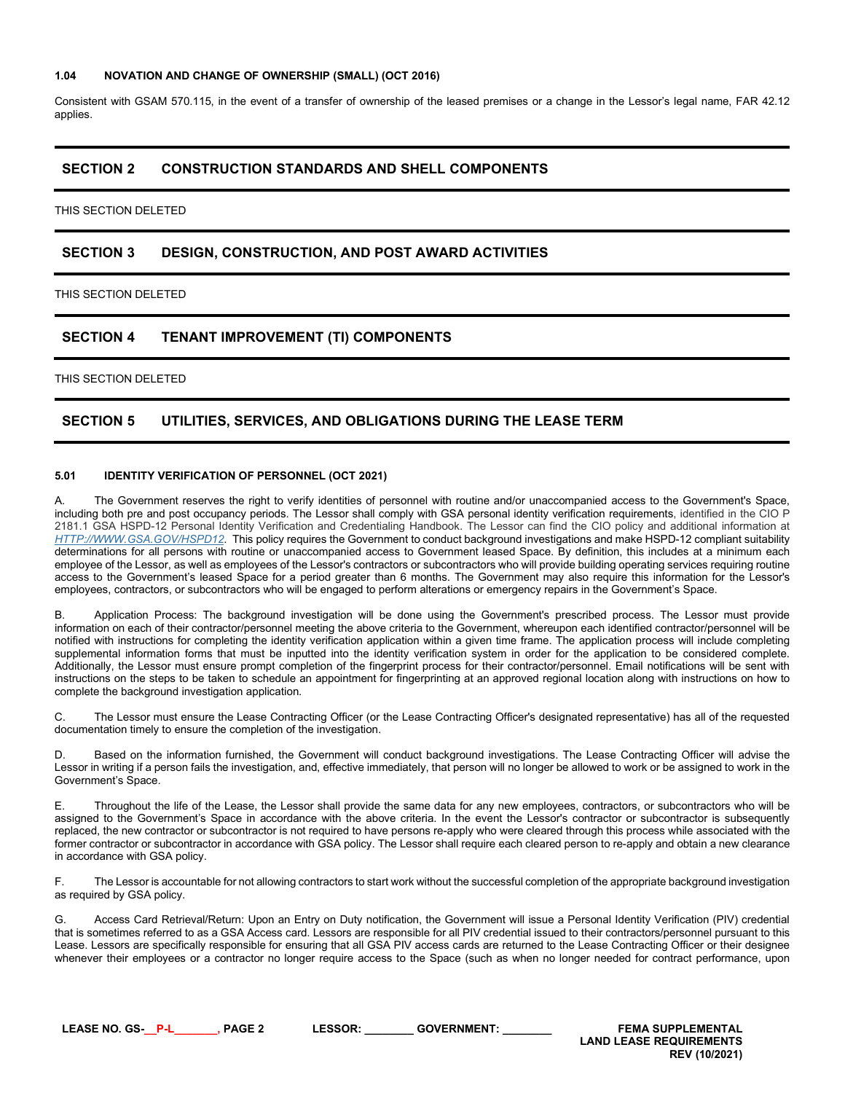#### <span id="page-1-0"></span>**1.04 NOVATION AND CHANGE OF OWNERSHIP (SMALL) (OCT 2016)**

Consistent with GSAM 570.115, in the event of a transfer of ownership of the leased premises or a change in the Lessor's legal name, FAR 42.12 applies.

## <span id="page-1-1"></span>**SECTION 2 CONSTRUCTION STANDARDS AND SHELL COMPONENTS**

THIS SECTION DELETED

## <span id="page-1-2"></span>**SECTION 3 DESIGN, CONSTRUCTION, AND POST AWARD ACTIVITIES**

THIS SECTION DELETED

# <span id="page-1-3"></span>**SECTION 4 TENANT IMPROVEMENT (TI) COMPONENTS**

THIS SECTION DELETED

# <span id="page-1-4"></span>**SECTION 5 UTILITIES, SERVICES, AND OBLIGATIONS DURING THE LEASE TERM**

#### <span id="page-1-5"></span>**5.01 IDENTITY VERIFICATION OF PERSONNEL (OCT 2021)**

The Government reserves the right to verify identities of personnel with routine and/or unaccompanied access to the Government's Space, including both pre and post occupancy periods. The Lessor shall comply with GSA personal identity verification requirements, identified in the CIO P 2181.1 GSA HSPD-12 Personal Identity Verification and Credentialing Handbook. The Lessor can find the CIO policy and additional information at *[HTTP://WWW.GSA.GOV/HSPD12](http://www.gsa.gov/hspd12)*. This policy requires the Government to conduct background investigations and make HSPD-12 compliant suitability determinations for all persons with routine or unaccompanied access to Government leased Space. By definition, this includes at a minimum each employee of the Lessor, as well as employees of the Lessor's contractors or subcontractors who will provide building operating services requiring routine access to the Government's leased Space for a period greater than 6 months. The Government may also require this information for the Lessor's employees, contractors, or subcontractors who will be engaged to perform alterations or emergency repairs in the Government's Space.

B. Application Process: The background investigation will be done using the Government's prescribed process. The Lessor must provide information on each of their contractor/personnel meeting the above criteria to the Government, whereupon each identified contractor/personnel will be notified with instructions for completing the identity verification application within a given time frame. The application process will include completing supplemental information forms that must be inputted into the identity verification system in order for the application to be considered complete. Additionally, the Lessor must ensure prompt completion of the fingerprint process for their contractor/personnel. Email notifications will be sent with instructions on the steps to be taken to schedule an appointment for fingerprinting at an approved regional location along with instructions on how to complete the background investigation application.

C. The Lessor must ensure the Lease Contracting Officer (or the Lease Contracting Officer's designated representative) has all of the requested documentation timely to ensure the completion of the investigation.

D. Based on the information furnished, the Government will conduct background investigations. The Lease Contracting Officer will advise the Lessor in writing if a person fails the investigation, and, effective immediately, that person will no longer be allowed to work or be assigned to work in the Government's Space.

E. Throughout the life of the Lease, the Lessor shall provide the same data for any new employees, contractors, or subcontractors who will be assigned to the Government's Space in accordance with the above criteria. In the event the Lessor's contractor or subcontractor is subsequently replaced, the new contractor or subcontractor is not required to have persons re-apply who were cleared through this process while associated with the former contractor or subcontractor in accordance with GSA policy. The Lessor shall require each cleared person to re-apply and obtain a new clearance in accordance with GSA policy.

F. The Lessor is accountable for not allowing contractors to start work without the successful completion of the appropriate background investigation as required by GSA policy.

G. Access Card Retrieval/Return: Upon an Entry on Duty notification, the Government will issue a Personal Identity Verification (PIV) credential that is sometimes referred to as a GSA Access card. Lessors are responsible for all PIV credential issued to their contractors/personnel pursuant to this Lease. Lessors are specifically responsible for ensuring that all GSA PIV access cards are returned to the Lease Contracting Officer or their designee whenever their employees or a contractor no longer require access to the Space (such as when no longer needed for contract performance, upon

**LEASE NO. GS-\_\_P-L\_\_\_\_\_\_\_, PAGE 2 LESSOR: \_\_\_\_\_\_\_\_ GOVERNMENT: \_\_\_\_\_\_\_\_ FEMA SUPPLEMENTAL LAND LEASE REQUIREMENTS REV (10/2021)**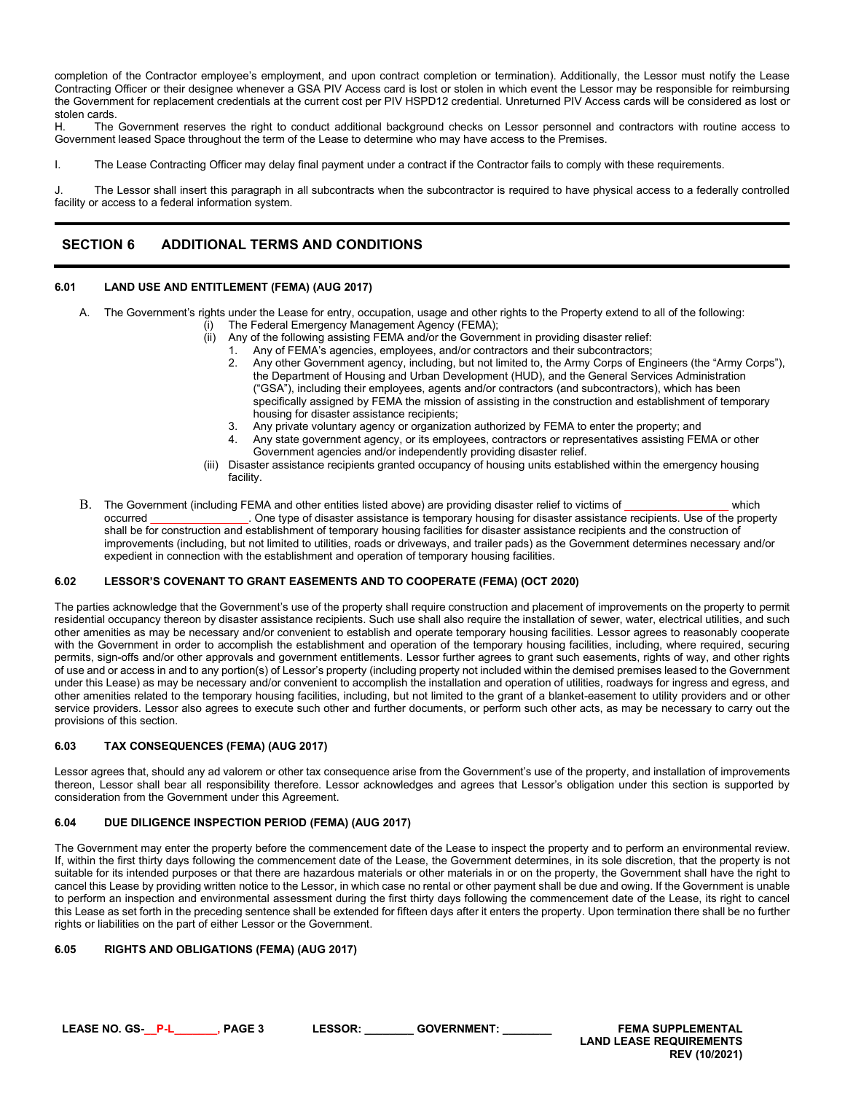completion of the Contractor employee's employment, and upon contract completion or termination). Additionally, the Lessor must notify the Lease Contracting Officer or their designee whenever a GSA PIV Access card is lost or stolen in which event the Lessor may be responsible for reimbursing the Government for replacement credentials at the current cost per PIV HSPD12 credential. Unreturned PIV Access cards will be considered as lost or stolen cards.<br>H The

The Government reserves the right to conduct additional background checks on Lessor personnel and contractors with routine access to Government leased Space throughout the term of the Lease to determine who may have access to the Premises.

I. The Lease Contracting Officer may delay final payment under a contract if the Contractor fails to comply with these requirements.

J. The Lessor shall insert this paragraph in all subcontracts when the subcontractor is required to have physical access to a federally controlled facility or access to a federal information system.

# <span id="page-2-0"></span>**SECTION 6 ADDITIONAL TERMS AND CONDITIONS**

### <span id="page-2-1"></span>**6.01 LAND USE AND ENTITLEMENT (FEMA) (AUG 2017)**

- A. The Government's rights under the Lease for entry, occupation, usage and other rights to the Property extend to all of the following:
	- The Federal Emergency Management Agency (FEMA);
		-
	- (ii) Any of the following assisting FEMA and/or the Government in providing disaster relief:<br>1. Any of FEMA's agencies, employees, and/or contractors and their subcontractors;<br>2. Any other Government agency, including, but Any of FEMA's agencies, employees, and/or contractors and their subcontractors;
		- 2. Any other Government agency, including, but not limited to, the Army Corps of Engineers (the "Army Corps"), the Department of Housing and Urban Development (HUD), and the General Services Administration ("GSA"), including their employees, agents and/or contractors (and subcontractors), which has been specifically assigned by FEMA the mission of assisting in the construction and establishment of temporary housing for disaster assistance recipients;
		- 3. Any private voluntary agency or organization authorized by FEMA to enter the property; and
		- 4. Any state government agency, or its employees, contractors or representatives assisting FEMA or other Government agencies and/or independently providing disaster relief.
	- (iii) Disaster assistance recipients granted occupancy of housing units established within the emergency housing facility.
- B. The Government (including FEMA and other entities listed above) are providing disaster relief to victims of \_\_\_\_\_\_\_\_\_\_\_\_\_\_\_\_\_\_\_\_\_\_\_ which<br>occurred occurred . One type of disaster assistance is temporary housing for disa . One type of disaster assistance is temporary housing for disaster assistance recipients. Use of the property shall be for construction and establishment of temporary housing facilities for disaster assistance recipients and the construction of improvements (including, but not limited to utilities, roads or driveways, and trailer pads) as the Government determines necessary and/or expedient in connection with the establishment and operation of temporary housing facilities.

## <span id="page-2-2"></span>**6.02 LESSOR'S COVENANT TO GRANT EASEMENTS AND TO COOPERATE (FEMA) (OCT 2020)**

The parties acknowledge that the Government's use of the property shall require construction and placement of improvements on the property to permit residential occupancy thereon by disaster assistance recipients. Such use shall also require the installation of sewer, water, electrical utilities, and such other amenities as may be necessary and/or convenient to establish and operate temporary housing facilities. Lessor agrees to reasonably cooperate with the Government in order to accomplish the establishment and operation of the temporary housing facilities, including, where required, securing permits, sign-offs and/or other approvals and government entitlements. Lessor further agrees to grant such easements, rights of way, and other rights of use and or access in and to any portion(s) of Lessor's property (including property not included within the demised premises leased to the Government under this Lease) as may be necessary and/or convenient to accomplish the installation and operation of utilities, roadways for ingress and egress, and other amenities related to the temporary housing facilities, including, but not limited to the grant of a blanket-easement to utility providers and or other service providers. Lessor also agrees to execute such other and further documents, or perform such other acts, as may be necessary to carry out the provisions of this section.

## <span id="page-2-3"></span>**6.03 TAX CONSEQUENCES (FEMA) (AUG 2017)**

Lessor agrees that, should any ad valorem or other tax consequence arise from the Government's use of the property, and installation of improvements thereon, Lessor shall bear all responsibility therefore. Lessor acknowledges and agrees that Lessor's obligation under this section is supported by consideration from the Government under this Agreement.

#### <span id="page-2-4"></span>**6.04 DUE DILIGENCE INSPECTION PERIOD (FEMA) (AUG 2017)**

The Government may enter the property before the commencement date of the Lease to inspect the property and to perform an environmental review. If, within the first thirty days following the commencement date of the Lease, the Government determines, in its sole discretion, that the property is not suitable for its intended purposes or that there are hazardous materials or other materials in or on the property, the Government shall have the right to cancel this Lease by providing written notice to the Lessor, in which case no rental or other payment shall be due and owing. If the Government is unable to perform an inspection and environmental assessment during the first thirty days following the commencement date of the Lease, its right to cancel this Lease as set forth in the preceding sentence shall be extended for fifteen days after it enters the property. Upon termination there shall be no further rights or liabilities on the part of either Lessor or the Government.

## <span id="page-2-5"></span>**6.05 RIGHTS AND OBLIGATIONS (FEMA) (AUG 2017)**

**LEASE NO. GS-\_\_P-L\_\_\_\_\_\_\_, PAGE 3 LESSOR: \_\_\_\_\_\_\_\_ GOVERNMENT: \_\_\_\_\_\_\_\_ FEMA SUPPLEMENTAL** 

**LAND LEASE REQUIREMENTS REV (10/2021)**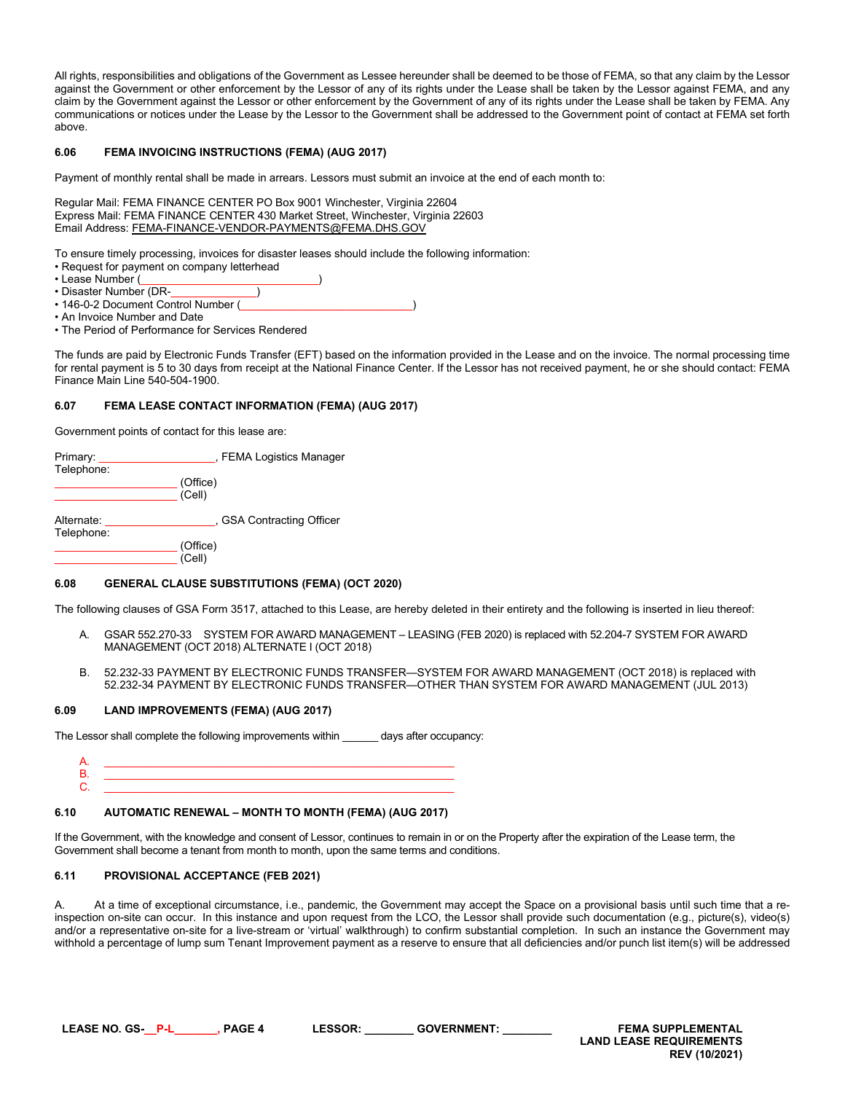All rights, responsibilities and obligations of the Government as Lessee hereunder shall be deemed to be those of FEMA, so that any claim by the Lessor against the Government or other enforcement by the Lessor of any of its rights under the Lease shall be taken by the Lessor against FEMA, and any claim by the Government against the Lessor or other enforcement by the Government of any of its rights under the Lease shall be taken by FEMA. Any communications or notices under the Lease by the Lessor to the Government shall be addressed to the Government point of contact at FEMA set forth above.

#### <span id="page-3-0"></span>**6.06 FEMA INVOICING INSTRUCTIONS (FEMA) (AUG 2017)**

Payment of monthly rental shall be made in arrears. Lessors must submit an invoice at the end of each month to:

Regular Mail: FEMA FINANCE CENTER PO Box 9001 Winchester, Virginia 22604 Express Mail: FEMA FINANCE CENTER 430 Market Street, Winchester, Virginia 22603 Email Address: FEMA-FINANCE-VENDOR-PAYMENTS@FEMA.DHS.GOV

To ensure timely processing, invoices for disaster leases should include the following information:

- Request for payment on company letterhead
- Lease Number (
- Disaster Number (DR-
- 146-0-2 Document Control Number (
- An Invoice Number and Date
- The Period of Performance for Services Rendered

The funds are paid by Electronic Funds Transfer (EFT) based on the information provided in the Lease and on the invoice. The normal processing time for rental payment is 5 to 30 days from receipt at the National Finance Center. If the Lessor has not received payment, he or she should contact: FEMA Finance Main Line 540-504-1900.

### <span id="page-3-1"></span>**6.07 FEMA LEASE CONTACT INFORMATION (FEMA) (AUG 2017)**

Government points of contact for this lease are:

| Primary:   | , FEMA Logistics Manager  |  |
|------------|---------------------------|--|
| Telephone: |                           |  |
|            | (Office)                  |  |
|            | (Cell)                    |  |
|            |                           |  |
| Alternate: | , GSA Contracting Officer |  |
| Telephone: |                           |  |
|            | (Office)                  |  |
|            | (Cell)                    |  |

#### <span id="page-3-2"></span>**6.08 GENERAL CLAUSE SUBSTITUTIONS (FEMA) (OCT 2020)**

The following clauses of GSA Form 3517, attached to this Lease, are hereby deleted in their entirety and the following is inserted in lieu thereof:

- A. GSAR 552.270-33 SYSTEM FOR AWARD MANAGEMENT LEASING (FEB 2020) is replaced with 52.204-7 SYSTEM FOR AWARD MANAGEMENT (OCT 2018) ALTERNATE I (OCT 2018)
- <span id="page-3-3"></span>B. 52.232-33 PAYMENT BY ELECTRONIC FUNDS TRANSFER—SYSTEM FOR AWARD MANAGEMENT (OCT 2018) is replaced with 52.232-34 PAYMENT BY ELECTRONIC FUNDS TRANSFER—OTHER THAN SYSTEM FOR AWARD MANAGEMENT (JUL 2013)

#### **6.09 LAND IMPROVEMENTS (FEMA) (AUG 2017)**

The Lessor shall complete the following improvements within days after occupancy:

A. \_\_\_\_\_\_\_\_\_\_\_\_\_\_\_\_\_\_\_\_\_\_\_\_\_\_\_\_\_\_\_\_\_\_\_\_\_\_\_\_\_\_\_\_\_\_\_\_\_\_\_\_\_\_\_\_\_\_\_ B. \_\_\_\_\_\_\_\_\_\_\_\_\_\_\_\_\_\_\_\_\_\_\_\_\_\_\_\_\_\_\_\_\_\_\_\_\_\_\_\_\_\_\_\_\_\_\_\_\_\_\_\_\_\_\_\_\_\_\_ C. \_\_\_\_\_\_\_\_\_\_\_\_\_\_\_\_\_\_\_\_\_\_\_\_\_\_\_\_\_\_\_\_\_\_\_\_\_\_\_\_\_\_\_\_\_\_\_\_\_\_\_\_\_\_\_\_\_\_\_

#### <span id="page-3-4"></span>**6.10 AUTOMATIC RENEWAL – MONTH TO MONTH (FEMA) (AUG 2017)**

If the Government, with the knowledge and consent of Lessor, continues to remain in or on the Property after the expiration of the Lease term, the Government shall become a tenant from month to month, upon the same terms and conditions.

#### <span id="page-3-5"></span>**6.11 PROVISIONAL ACCEPTANCE (FEB 2021)**

A. At a time of exceptional circumstance, i.e., pandemic, the Government may accept the Space on a provisional basis until such time that a reinspection on-site can occur. In this instance and upon request from the LCO, the Lessor shall provide such documentation (e.g., picture(s), video(s) and/or a representative on-site for a live-stream or 'virtual' walkthrough) to confirm substantial completion. In such an instance the Government may withhold a percentage of lump sum Tenant Improvement payment as a reserve to ensure that all deficiencies and/or punch list item(s) will be addressed

**LEASE NO. GS-\_\_P-L\_\_\_\_\_\_\_, PAGE 4 LESSOR: \_\_\_\_\_\_\_\_ GOVERNMENT: \_\_\_\_\_\_\_\_ FEMA SUPPLEMENTAL LAND LEASE REQUIREMENTS REV (10/2021)**